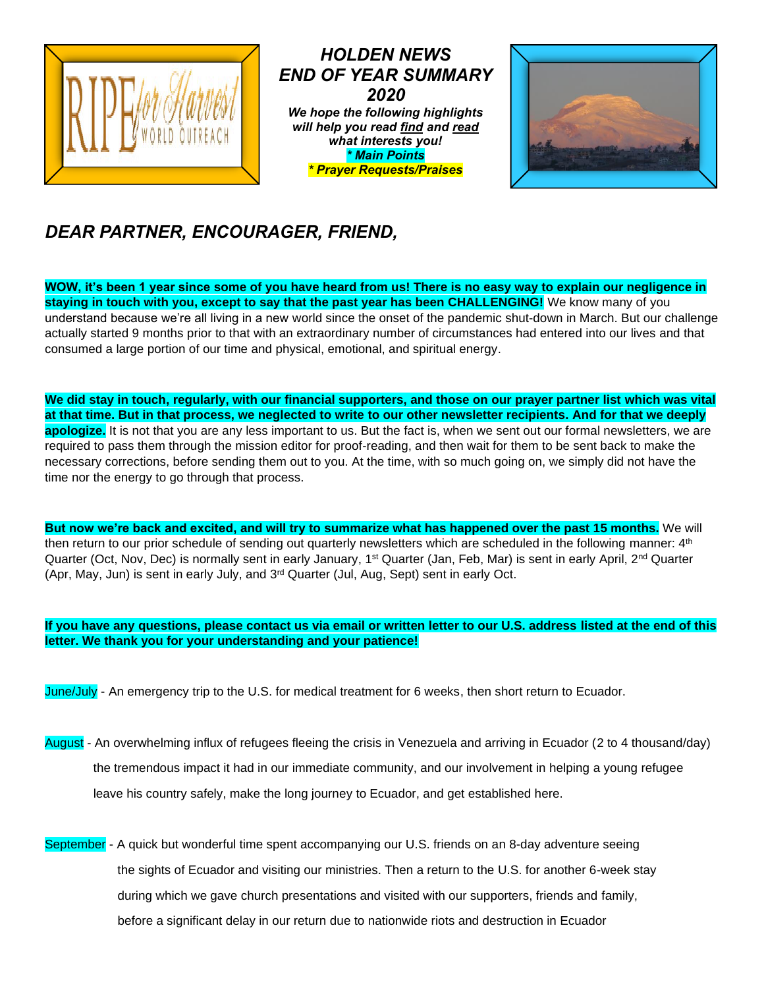

*HOLDEN NEWS END OF YEAR SUMMARY 2020 We hope the following highlights will help you read find and read what interests you! \* Main Points \* Prayer Requests/Praises*



# *DEAR PARTNER, ENCOURAGER, FRIEND,*

**WOW, it's been 1 year since some of you have heard from us! There is no easy way to explain our negligence in staying in touch with you, except to say that the past year has been CHALLENGING!** We know many of you understand because we're all living in a new world since the onset of the pandemic shut-down in March. But our challenge actually started 9 months prior to that with an extraordinary number of circumstances had entered into our lives and that consumed a large portion of our time and physical, emotional, and spiritual energy.

**We did stay in touch, regularly, with our financial supporters, and those on our prayer partner list which was vital at that time. But in that process, we neglected to write to our other newsletter recipients. And for that we deeply apologize.** It is not that you are any less important to us. But the fact is, when we sent out our formal newsletters, we are required to pass them through the mission editor for proof-reading, and then wait for them to be sent back to make the necessary corrections, before sending them out to you. At the time, with so much going on, we simply did not have the time nor the energy to go through that process.

**But now we're back and excited, and will try to summarize what has happened over the past 15 months.** We will then return to our prior schedule of sending out quarterly newsletters which are scheduled in the following manner:  $4<sup>th</sup>$ Quarter (Oct, Nov, Dec) is normally sent in early January, 1<sup>st</sup> Quarter (Jan, Feb, Mar) is sent in early April, 2<sup>nd</sup> Quarter (Apr, May, Jun) is sent in early July, and  $3<sup>rd</sup>$  Quarter (Jul, Aug, Sept) sent in early Oct.

#### **If you have any questions, please contact us via email or written letter to our U.S. address listed at the end of this letter. We thank you for your understanding and your patience!**

June/July - An emergency trip to the U.S. for medical treatment for 6 weeks, then short return to Ecuador.

- August An overwhelming influx of refugees fleeing the crisis in Venezuela and arriving in Ecuador (2 to 4 thousand/day) the tremendous impact it had in our immediate community, and our involvement in helping a young refugee leave his country safely, make the long journey to Ecuador, and get established here.
- September A quick but wonderful time spent accompanying our U.S. friends on an 8-day adventure seeing the sights of Ecuador and visiting our ministries. Then a return to the U.S. for another 6-week stay during which we gave church presentations and visited with our supporters, friends and family, before a significant delay in our return due to nationwide riots and destruction in Ecuador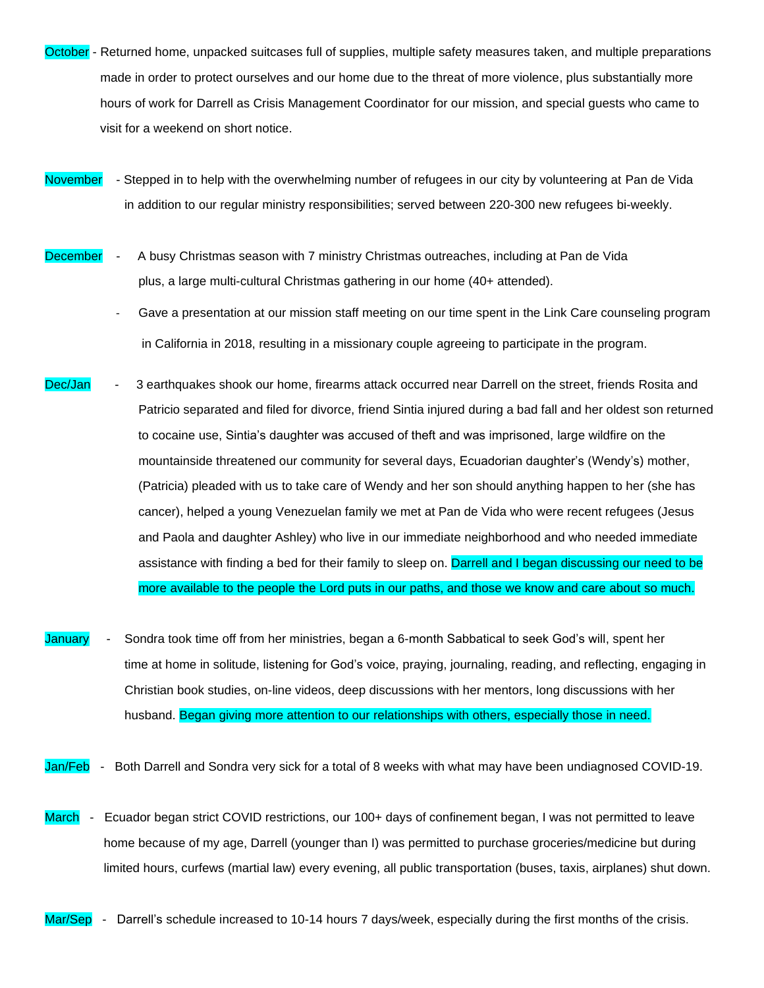- October Returned home, unpacked suitcases full of supplies, multiple safety measures taken, and multiple preparations made in order to protect ourselves and our home due to the threat of more violence, plus substantially more hours of work for Darrell as Crisis Management Coordinator for our mission, and special guests who came to visit for a weekend on short notice.
- November Stepped in to help with the overwhelming number of refugees in our city by volunteering at Pan de Vida in addition to our regular ministry responsibilities; served between 220-300 new refugees bi-weekly.
- December A busy Christmas season with 7 ministry Christmas outreaches, including at Pan de Vida plus, a large multi-cultural Christmas gathering in our home (40+ attended).
	- Gave a presentation at our mission staff meeting on our time spent in the Link Care counseling program in California in 2018, resulting in a missionary couple agreeing to participate in the program.
- Dec/Jan 3 earthquakes shook our home, firearms attack occurred near Darrell on the street, friends Rosita and Patricio separated and filed for divorce, friend Sintia injured during a bad fall and her oldest son returned to cocaine use, Sintia's daughter was accused of theft and was imprisoned, large wildfire on the mountainside threatened our community for several days, Ecuadorian daughter's (Wendy's) mother, (Patricia) pleaded with us to take care of Wendy and her son should anything happen to her (she has cancer), helped a young Venezuelan family we met at Pan de Vida who were recent refugees (Jesus and Paola and daughter Ashley) who live in our immediate neighborhood and who needed immediate assistance with finding a bed for their family to sleep on. Darrell and I began discussing our need to be more available to the people the Lord puts in our paths, and those we know and care about so much.
- January Sondra took time off from her ministries, began a 6-month Sabbatical to seek God's will, spent her time at home in solitude, listening for God's voice, praying, journaling, reading, and reflecting, engaging in Christian book studies, on-line videos, deep discussions with her mentors, long discussions with her husband. Began giving more attention to our relationships with others, especially those in need.

Jan/Feb - Both Darrell and Sondra very sick for a total of 8 weeks with what may have been undiagnosed COVID-19.

- March Ecuador began strict COVID restrictions, our 100+ days of confinement began, I was not permitted to leave home because of my age, Darrell (younger than I) was permitted to purchase groceries/medicine but during limited hours, curfews (martial law) every evening, all public transportation (buses, taxis, airplanes) shut down.
- Mar/Sep Darrell's schedule increased to 10-14 hours 7 days/week, especially during the first months of the crisis.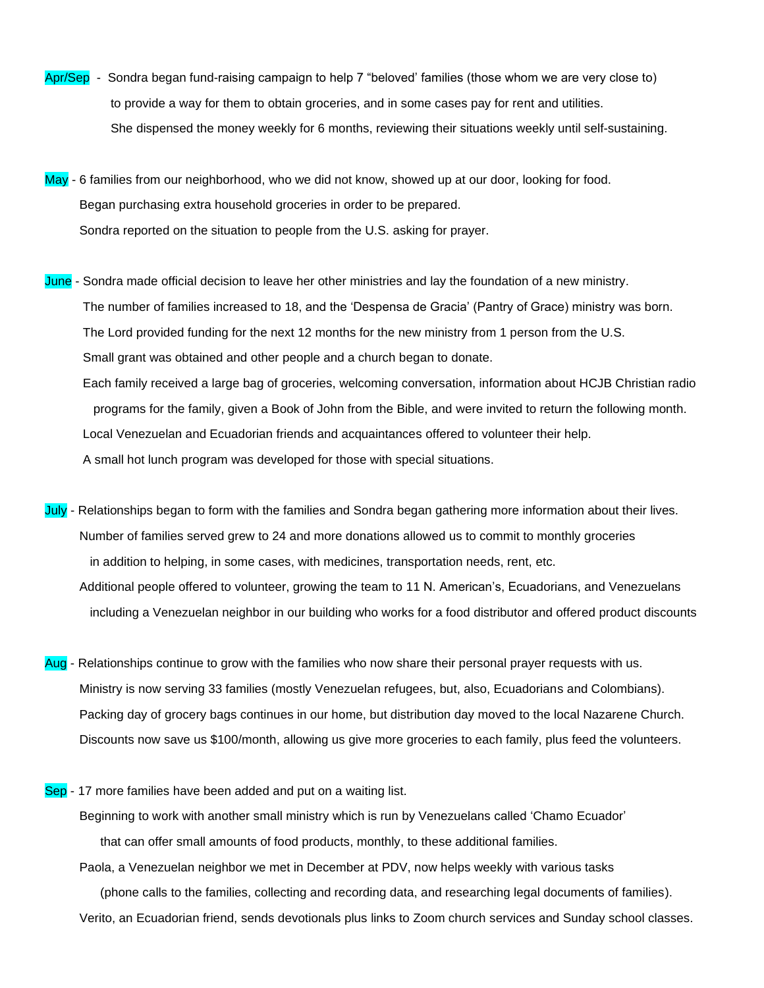- Apr/Sep Sondra began fund-raising campaign to help 7 "beloved' families (those whom we are very close to) to provide a way for them to obtain groceries, and in some cases pay for rent and utilities. She dispensed the money weekly for 6 months, reviewing their situations weekly until self-sustaining.
- May 6 families from our neighborhood, who we did not know, showed up at our door, looking for food. Began purchasing extra household groceries in order to be prepared. Sondra reported on the situation to people from the U.S. asking for prayer.
- June Sondra made official decision to leave her other ministries and lay the foundation of a new ministry. The number of families increased to 18, and the 'Despensa de Gracia' (Pantry of Grace) ministry was born. The Lord provided funding for the next 12 months for the new ministry from 1 person from the U.S. Small grant was obtained and other people and a church began to donate. Each family received a large bag of groceries, welcoming conversation, information about HCJB Christian radio programs for the family, given a Book of John from the Bible, and were invited to return the following month. Local Venezuelan and Ecuadorian friends and acquaintances offered to volunteer their help. A small hot lunch program was developed for those with special situations.
- July Relationships began to form with the families and Sondra began gathering more information about their lives. Number of families served grew to 24 and more donations allowed us to commit to monthly groceries in addition to helping, in some cases, with medicines, transportation needs, rent, etc. Additional people offered to volunteer, growing the team to 11 N. American's, Ecuadorians, and Venezuelans including a Venezuelan neighbor in our building who works for a food distributor and offered product discounts
- Aug Relationships continue to grow with the families who now share their personal prayer requests with us. Ministry is now serving 33 families (mostly Venezuelan refugees, but, also, Ecuadorians and Colombians). Packing day of grocery bags continues in our home, but distribution day moved to the local Nazarene Church. Discounts now save us \$100/month, allowing us give more groceries to each family, plus feed the volunteers.
- Sep 17 more families have been added and put on a waiting list.

 Beginning to work with another small ministry which is run by Venezuelans called 'Chamo Ecuador' that can offer small amounts of food products, monthly, to these additional families.

 Paola, a Venezuelan neighbor we met in December at PDV, now helps weekly with various tasks (phone calls to the families, collecting and recording data, and researching legal documents of families). Verito, an Ecuadorian friend, sends devotionals plus links to Zoom church services and Sunday school classes.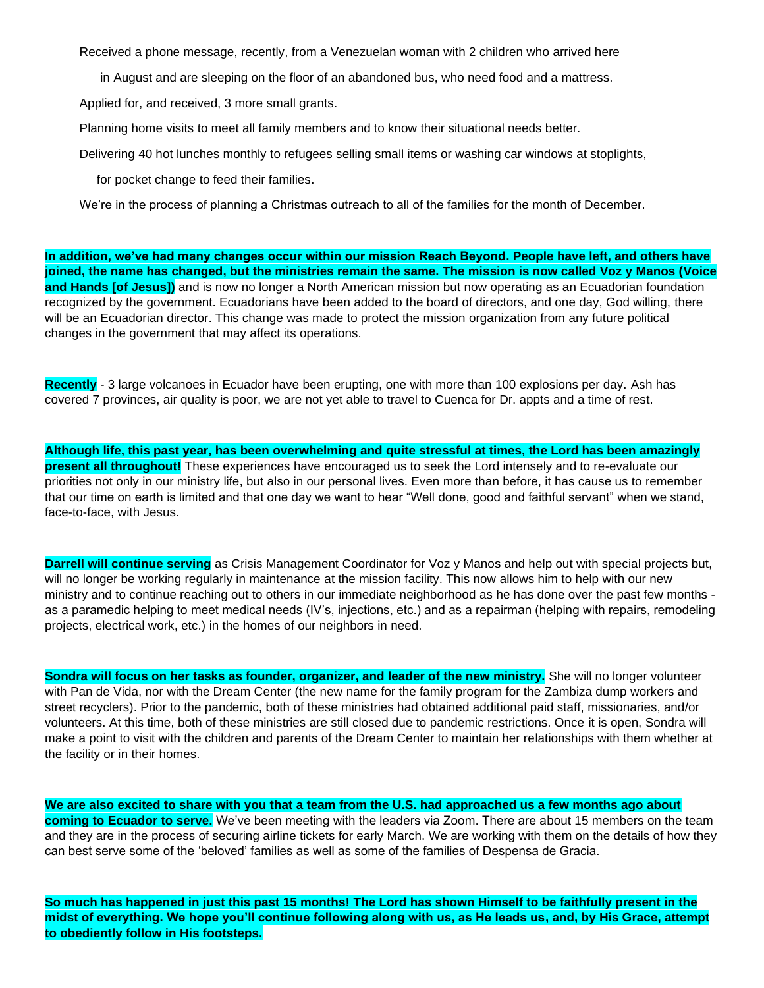Received a phone message, recently, from a Venezuelan woman with 2 children who arrived here

in August and are sleeping on the floor of an abandoned bus, who need food and a mattress.

Applied for, and received, 3 more small grants.

Planning home visits to meet all family members and to know their situational needs better.

Delivering 40 hot lunches monthly to refugees selling small items or washing car windows at stoplights,

for pocket change to feed their families.

We're in the process of planning a Christmas outreach to all of the families for the month of December.

**In addition, we've had many changes occur within our mission Reach Beyond. People have left, and others have joined, the name has changed, but the ministries remain the same. The mission is now called Voz y Manos (Voice and Hands [of Jesus])** and is now no longer a North American mission but now operating as an Ecuadorian foundation recognized by the government. Ecuadorians have been added to the board of directors, and one day, God willing, there will be an Ecuadorian director. This change was made to protect the mission organization from any future political changes in the government that may affect its operations.

**Recently** - 3 large volcanoes in Ecuador have been erupting, one with more than 100 explosions per day. Ash has covered 7 provinces, air quality is poor, we are not yet able to travel to Cuenca for Dr. appts and a time of rest.

**Although life, this past year, has been overwhelming and quite stressful at times, the Lord has been amazingly present all throughout!** These experiences have encouraged us to seek the Lord intensely and to re-evaluate our priorities not only in our ministry life, but also in our personal lives. Even more than before, it has cause us to remember that our time on earth is limited and that one day we want to hear "Well done, good and faithful servant" when we stand, face-to-face, with Jesus.

**Darrell will continue serving** as Crisis Management Coordinator for Voz y Manos and help out with special projects but, will no longer be working regularly in maintenance at the mission facility. This now allows him to help with our new ministry and to continue reaching out to others in our immediate neighborhood as he has done over the past few months as a paramedic helping to meet medical needs (IV's, injections, etc.) and as a repairman (helping with repairs, remodeling projects, electrical work, etc.) in the homes of our neighbors in need.

**Sondra will focus on her tasks as founder, organizer, and leader of the new ministry.** She will no longer volunteer with Pan de Vida, nor with the Dream Center (the new name for the family program for the Zambiza dump workers and street recyclers). Prior to the pandemic, both of these ministries had obtained additional paid staff, missionaries, and/or volunteers. At this time, both of these ministries are still closed due to pandemic restrictions. Once it is open, Sondra will make a point to visit with the children and parents of the Dream Center to maintain her relationships with them whether at the facility or in their homes.

**We are also excited to share with you that a team from the U.S. had approached us a few months ago about coming to Ecuador to serve.** We've been meeting with the leaders via Zoom. There are about 15 members on the team and they are in the process of securing airline tickets for early March. We are working with them on the details of how they can best serve some of the 'beloved' families as well as some of the families of Despensa de Gracia.

**So much has happened in just this past 15 months! The Lord has shown Himself to be faithfully present in the midst of everything. We hope you'll continue following along with us, as He leads us, and, by His Grace, attempt to obediently follow in His footsteps.**